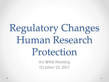# Regulatory Changes Human Research Protection

AU SPAN Meeting October 23, 2017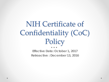## NIH Certificate of Confidentiality (CoC) Policy

*Effective Date: October 1, 2017 Retroactive : December 13, 2016*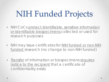# NIH Funded Projects

- NIH CoCs protect identifiable, sensitive information or identifiable biospecimens collected or used for research purposes
- NIH may issue certificates for NIH funded or non-NIH funded research (no change to non-NIH funded)
- Transfer of information or biospecimens requires notice to the recipient that a certificate of confidentiality exists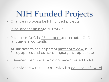## NIH Funded Projects

- Change in process for NIH funded projects
- PI no longer applies to NIH for CoC
- PI requests CoC in IRB protocol and includes CoC language in consent(s)
- AU IRB determines, as part of protocol review, if CoC Policy applies and consent language is appropriate
- <u>"Deemed Certificate"</u> No document issued by NIH
- Compliance with the COC Policy is a condition of award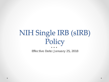## NIH Single IRB (sIRB) Policy

*Effective Date: January 25, 2018*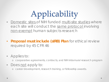## Applicability

- Domestic sites of NIH funded multi-site studies where each site will conduct the same protocol involving non-exempt human subjects research
- **Proposal must include (sIRB) Plan** for ethical review required by 45 CFR 46
- Applies to:
	- o cooperative agreements, contracts, and NIH intramural research program
- Does not apply to:
	- o career development, research training, or fellowship awards.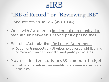### sIRB

### "IRB of Record" or "Reviewing IRB"

- Conducts ethical review (45 CFR 46)
- Works with Awardee to implement communication mechanism between sIRB and participating sites
- Executes Authorization (Reliance) Agreements
	- o Documents respective authorities, roles, responsibilities, and communication between sIRB and participating sites
- May include direct costs for sIRB in proposal budget o Cost must be justified, reasonable, and consistent with cost principles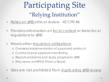## Participating Site "Relying Institution"

- Relies on sIRB ethical review 45 CFR 46
- Provides information on local context or state/local regulations to sIRB
- Meets other requlatory obligations
	- o Oversees implementation of approved protocol
	- o Conducts post approval monitoring
	- o Reports problems and study progress to sIRB
	- o May serve as HIPAA Privacy Board
- Sites are not prohibited from duplicating sIRB review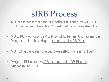## sIRB Process

- AU PI completes and submits sIRB Form to AU ORC o Submission must be at least 3 weeks before proposal deadline
- AU ORC works with AU PI and External Compliance Programs to develop a proposed sIRB Plan
- AU IRB reviews and approves sIRB Plan and Form
- Project PI includes IRB approved sIRB Plan in proposal to NIH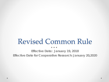### Revised Common Rule

*Effective Date: January 19, 2018 Effective Date for Cooperative Research: January 20,2020*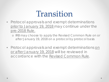### Transition

• Protocol approvals and exempt determinations prior to January 19, 2018 may continue under the pre-2018 Rule.

o IRB may choose to apply the Revised Common Rule on or after January 19, 2018 on a protocol by protocol basis

• Protocol approvals and exempt determinations on or after January 19, 2018 will be reviewed in accordance with the Revised Common Rule.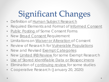## Significant Changes

- Definition of Human Subject Research
- Required Elements and Format of Informed Consent
- Public Posting of Some Consent Forms
- New Broad Consent Requirement
- Limitations on Waiver or Alteration of Consent
- Review of Research for Vulnerable Populations
- New and Revised Exempt Categories
- New Limited IRB Review for some Exempt Research
- Use of Stored Identifiable Data or Biospecimens
- Elimination of continuing review for some studies
- Cooperative Research (January 20, 2020)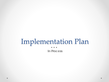### Implementation Plan

*In Process*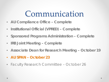### Communication

- **AU Compliance Office – Complete**
- **Institutional Official (VPRED) – Complete**
- **Sponsored Programs Administration – Complete**
- **IRB Joint Meeting – Complete**
- **Associate Dean for Research Meeting – October 19**
- **AU SPAN – October 23**
- Faculty Research Committee October 26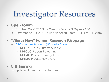# Investigator Resources

#### • **Open Forum**

- o October 26 OIT 1st Floor Meeting Room 3:30 pm 4:30 pm
- o November 29 CASIC 1st Floor Meeting Room 3:30 pm 4:30 pm

#### • **"What's New" Human Research Webpage**

- ORC [Human Research \(IRB\) -](https://cws.auburn.edu/OVPR/pm/compliance/irb/new) What's New
	- NIH CoC Policy Summary Table
	- NIH CoC Process Flowchart
	- NIH sIRB Policy Summary Table
	- NIH sIRB Process Flowchart

#### • **CITI Training**

o Updated for regulatory changes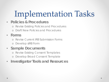# Implementation Tasks

#### • **Policies & Procedures**

- o Revise Existing Policies and Procedures
- Draft New Policies and Procedures

#### • **Forms**

- o Revise Current IRB Submission Forms
- o Develop sIRB Form

### • **Sample Documents**

- o Revise Existing Consent Templates
- o Develop Broad Consent Template

### • **Investigator Tools and Resources**